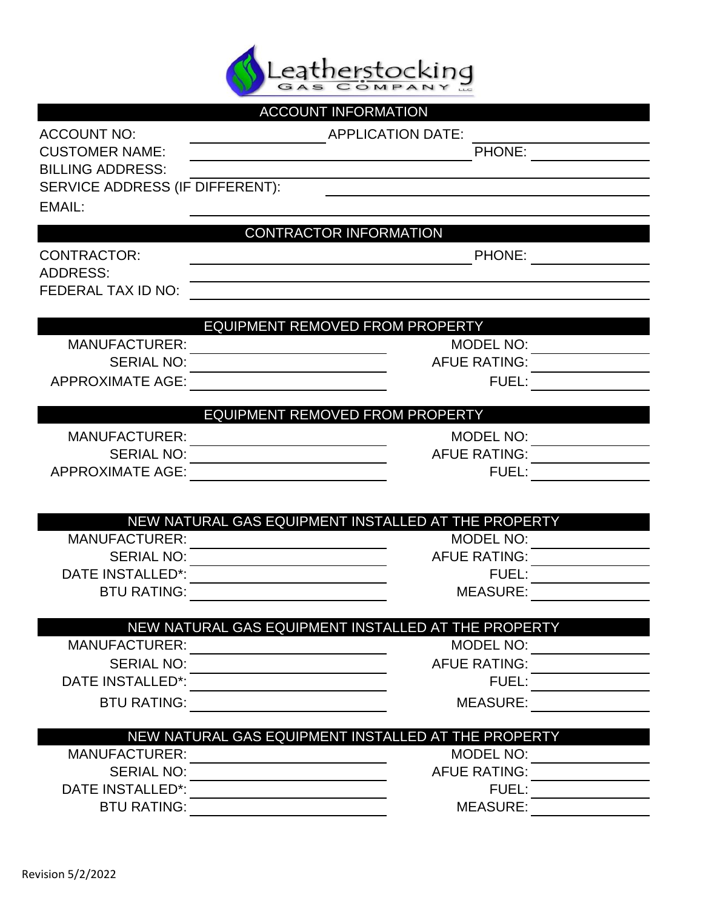

|                                              | <b>ACCOUNT INFORMATION</b>                          |  |  |  |  |
|----------------------------------------------|-----------------------------------------------------|--|--|--|--|
| <b>ACCOUNT NO:</b>                           | <b>APPLICATION DATE:</b>                            |  |  |  |  |
| <b>CUSTOMER NAME:</b>                        | PHONE:                                              |  |  |  |  |
| <b>BILLING ADDRESS:</b>                      |                                                     |  |  |  |  |
| SERVICE ADDRESS (IF DIFFERENT):              |                                                     |  |  |  |  |
| EMAIL:                                       |                                                     |  |  |  |  |
|                                              | <b>CONTRACTOR INFORMATION</b>                       |  |  |  |  |
| <b>CONTRACTOR:</b>                           | PHONE:                                              |  |  |  |  |
| <b>ADDRESS:</b>                              |                                                     |  |  |  |  |
| FEDERAL TAX ID NO:                           |                                                     |  |  |  |  |
|                                              |                                                     |  |  |  |  |
|                                              | EQUIPMENT REMOVED FROM PROPERTY                     |  |  |  |  |
| <b>MANUFACTURER:</b>                         | MODEL NO:                                           |  |  |  |  |
| <b>SERIAL NO:</b>                            | <b>AFUE RATING:</b>                                 |  |  |  |  |
| <b>APPROXIMATE AGE:</b>                      | FUEL:                                               |  |  |  |  |
|                                              |                                                     |  |  |  |  |
|                                              | EQUIPMENT REMOVED FROM PROPERTY                     |  |  |  |  |
| <b>MANUFACTURER:</b>                         | <b>MODEL NO:</b>                                    |  |  |  |  |
| <b>SERIAL NO:</b><br><b>APPROXIMATE AGE:</b> | <b>AFUE RATING:</b><br>FUEL:                        |  |  |  |  |
|                                              |                                                     |  |  |  |  |
|                                              |                                                     |  |  |  |  |
|                                              | NEW NATURAL GAS EQUIPMENT INSTALLED AT THE PROPERTY |  |  |  |  |
| <b>MANUFACTURER:</b>                         | <b>MODEL NO:</b>                                    |  |  |  |  |
| <b>SERIAL NO:</b>                            | <b>AFUE RATING:</b>                                 |  |  |  |  |
| <b>DATE INSTALLED*:</b>                      | FUEL:                                               |  |  |  |  |
| <b>BTU RATING:</b>                           | <b>MEASURE:</b>                                     |  |  |  |  |
|                                              | NEW NATURAL GAS EQUIPMENT INSTALLED AT THE PROPERTY |  |  |  |  |
| <b>MANUFACTURER:</b>                         | <b>MODEL NO:</b>                                    |  |  |  |  |
| <b>SERIAL NO:</b>                            | <b>AFUE RATING:</b>                                 |  |  |  |  |
| DATE INSTALLED*:                             | <b>FUEL:</b>                                        |  |  |  |  |
| <b>BTU RATING:</b>                           | <b>MEASURE:</b>                                     |  |  |  |  |
|                                              |                                                     |  |  |  |  |
|                                              | NEW NATURAL GAS EQUIPMENT INSTALLED AT THE PROPERTY |  |  |  |  |
| <b>MANUFACTURER:</b>                         | <b>MODEL NO:</b>                                    |  |  |  |  |
| <b>SERIAL NO:</b>                            | <b>AFUE RATING:</b>                                 |  |  |  |  |
| <b>DATE INSTALLED*:</b>                      | FUEL:                                               |  |  |  |  |
| <b>BTU RATING:</b>                           | <b>MEASURE:</b>                                     |  |  |  |  |